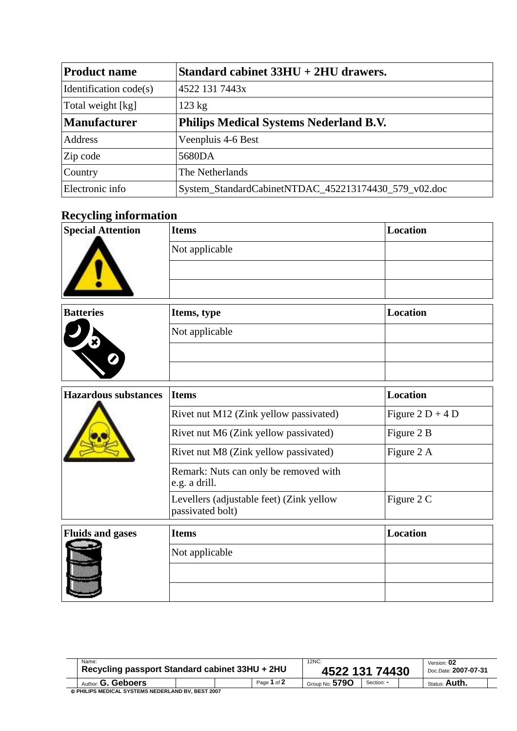| <b>Product name</b>    | Standard cabinet $33HU + 2HU$ drawers.               |
|------------------------|------------------------------------------------------|
| Identification code(s) | 4522 131 7443x                                       |
| Total weight [kg]      | $123 \text{ kg}$                                     |
| <b>Manufacturer</b>    | <b>Philips Medical Systems Nederland B.V.</b>        |
| Address                | Veenpluis 4-6 Best                                   |
| Zip code               | 5680DA                                               |
| Country                | The Netherlands                                      |
| Electronic info        | System_StandardCabinetNTDAC_452213174430_579_v02.doc |

## **Recycling information**

| <b>Special Attention</b>    | <b>Items</b>                                                 | <b>Location</b>    |  |  |  |
|-----------------------------|--------------------------------------------------------------|--------------------|--|--|--|
|                             | Not applicable                                               |                    |  |  |  |
|                             |                                                              |                    |  |  |  |
|                             |                                                              |                    |  |  |  |
| <b>Batteries</b>            | Items, type                                                  | <b>Location</b>    |  |  |  |
|                             | Not applicable                                               |                    |  |  |  |
|                             |                                                              |                    |  |  |  |
|                             |                                                              |                    |  |  |  |
| <b>Hazardous substances</b> | <b>Items</b>                                                 | <b>Location</b>    |  |  |  |
|                             | Rivet nut M12 (Zink yellow passivated)                       | Figure $2 D + 4 D$ |  |  |  |
|                             | Rivet nut M6 (Zink yellow passivated)                        | Figure 2 B         |  |  |  |
|                             | Rivet nut M8 (Zink yellow passivated)                        | Figure 2 A         |  |  |  |
|                             | Remark: Nuts can only be removed with<br>e.g. a drill.       |                    |  |  |  |
|                             | Levellers (adjustable feet) (Zink yellow<br>passivated bolt) | Figure 2 C         |  |  |  |
| <b>Fluids and gases</b>     | <b>Items</b>                                                 | <b>Location</b>    |  |  |  |
|                             | Not applicable                                               |                    |  |  |  |

| Name:<br>Recycling passport Standard cabinet 33HU + 2HU |  |             | 12NC:<br>4522 131 74430 | Version: 02<br>Doc.Date: 2007-07-31 |                      |
|---------------------------------------------------------|--|-------------|-------------------------|-------------------------------------|----------------------|
| Author: <b>G. Geboers</b>                               |  | Page 1 of 2 | Group No: $5790$        | Section: -                          | Status: <b>Auth.</b> |
| © PHILIPS MEDICAL SYSTEMS NEDERLAND BV, BEST 2007       |  |             |                         |                                     |                      |